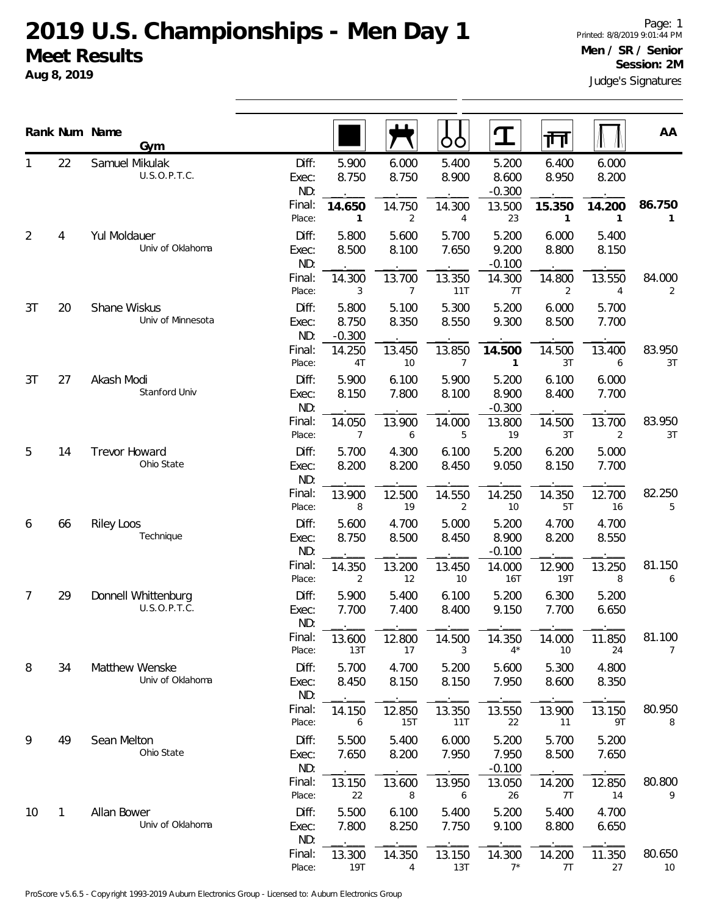**Aug 8, 2019**

Judge's Signatures Page: 1 Printed: 8/8/2019 9:01:44 PM **Men / SR / Senior Session: 2M**

|    |    | Rank Num Name<br>Gym                |                       |                            |                | OO                       |                            | 帀                      |                          | AA                     |
|----|----|-------------------------------------|-----------------------|----------------------------|----------------|--------------------------|----------------------------|------------------------|--------------------------|------------------------|
|    | 22 | Samuel Mikulak<br>U.S.O.P.T.C.      | Diff:<br>Exec:<br>ND: | 5.900<br>8.750             | 6.000<br>8.750 | 5.400<br>8.900           | 5.200<br>8.600<br>$-0.300$ | 6.400<br>8.950         | 6.000<br>8.200           |                        |
|    |    |                                     | Final:<br>Place:      | 14.650<br>1                | 14.750<br>2    | 14.300<br>4              | 13.500<br>23               | 15.350<br>$\mathbf{1}$ | 14.200<br>1              | 86.750<br>$\mathbf{1}$ |
| 2  | 4  | Yul Moldauer<br>Univ of Oklahoma    | Diff:<br>Exec:<br>ND: | 5.800<br>8.500             | 5.600<br>8.100 | 5.700<br>7.650           | 5.200<br>9.200<br>$-0.100$ | 6.000<br>8.800         | 5.400<br>8.150           |                        |
|    |    |                                     | Final:<br>Place:      | 14.300<br>3                | 13.700<br>7    | 13.350<br>11T            | 14.300<br>7T               | 14.800<br>2            | 13.550<br>$\overline{4}$ | 84.000<br>2            |
| 3T | 20 | Shane Wiskus<br>Univ of Minnesota   | Diff:<br>Exec:<br>ND: | 5.800<br>8.750<br>$-0.300$ | 5.100<br>8.350 | 5.300<br>8.550           | 5.200<br>9.300             | 6.000<br>8.500         | 5.700<br>7.700           |                        |
|    |    |                                     | Final:<br>Place:      | 14.250<br>4T               | 13.450<br>10   | 13.850<br>$\overline{7}$ | 14.500<br>1                | 14.500<br>3T           | 13.400<br>6              | 83.950<br>3T           |
| 3T | 27 | Akash Modi<br>Stanford Univ         | Diff:<br>Exec:<br>ND: | 5.900<br>8.150             | 6.100<br>7.800 | 5.900<br>8.100           | 5.200<br>8.900<br>$-0.300$ | 6.100<br>8.400         | 6.000<br>7.700           |                        |
|    |    |                                     | Final:<br>Place:      | 14.050<br>$\overline{7}$   | 13.900<br>6    | 14.000<br>5              | 13.800<br>19               | 14.500<br>3T           | 13.700<br>$\overline{2}$ | 83.950<br>3T           |
| 5  | 14 | Trevor Howard<br>Ohio State         | Diff:<br>Exec:<br>ND: | 5.700<br>8.200             | 4.300<br>8.200 | 6.100<br>8.450           | 5.200<br>9.050             | 6.200<br>8.150         | 5.000<br>7.700           |                        |
|    |    |                                     | Final:<br>Place:      | 13.900<br>8                | 12.500<br>19   | 14.550<br>$\overline{2}$ | 14.250<br>10               | 14.350<br>5T           | 12.700<br>16             | 82.250<br>5            |
| 6  | 66 | <b>Riley Loos</b><br>Technique      | Diff:<br>Exec:<br>ND: | 5.600<br>8.750             | 4.700<br>8.500 | 5.000<br>8.450           | 5.200<br>8.900<br>$-0.100$ | 4.700<br>8.200         | 4.700<br>8.550           |                        |
|    |    |                                     | Final:<br>Place:      | 14.350<br>2                | 13.200<br>12   | 13.450<br>10             | 14.000<br>16T              | 12.900<br>19T          | 13.250<br>8              | 81.150<br>6            |
| 7  | 29 | Donnell Whittenburg<br>U.S.O.P.T.C. | Diff:<br>Exec:<br>ND: | 5.900<br>7.700             | 5.400<br>7.400 | 6.100<br>8.400           | 5.200<br>9.150             | 6.300<br>7.700         | 5.200<br>6.650           |                        |
|    |    |                                     | Final:<br>Place:      | 13.600<br>13T              | 12.800<br>17   | 14.500<br>3              | 14.350<br>$4^*$            | 14.000<br>10           | 11.850<br>24             | 81.100<br>7            |
| 8  | 34 | Matthew Wenske<br>Univ of Oklahoma  | Diff:<br>Exec:<br>ND: | 5.700<br>8.450             | 4.700<br>8.150 | 5.200<br>8.150           | 5.600<br>7.950             | 5.300<br>8.600         | 4.800<br>8.350           |                        |
|    |    |                                     | Final:<br>Place:      | 14.150<br>6                | 12.850<br>15T  | 13.350<br>11T            | 13.550<br>22               | 13.900<br>11           | 13.150<br>9T             | 80.950<br>8            |
| 9  | 49 | Sean Melton<br>Ohio State           | Diff:<br>Exec:<br>ND: | 5.500<br>7.650             | 5.400<br>8.200 | 6.000<br>7.950           | 5.200<br>7.950<br>$-0.100$ | 5.700<br>8.500         | 5.200<br>7.650           |                        |
|    |    |                                     | Final:<br>Place:      | 13.150<br>22               | 13.600<br>8    | 13.950<br>6              | 13.050<br>26               | 14.200<br>7T           | 12.850<br>14             | 80.800<br>9            |
| 10 | 1  | Allan Bower<br>Univ of Oklahoma     | Diff:<br>Exec:<br>ND: | 5.500<br>7.800             | 6.100<br>8.250 | 5.400<br>7.750           | 5.200<br>9.100             | 5.400<br>8.800         | 4.700<br>6.650           |                        |
|    |    |                                     | Final:<br>Place:      | 13.300<br>19T              | 14.350<br>4    | 13.150<br>13T            | 14.300<br>$7^*$            | 14.200<br>7T           | 11.350<br>27             | 80.650<br>10           |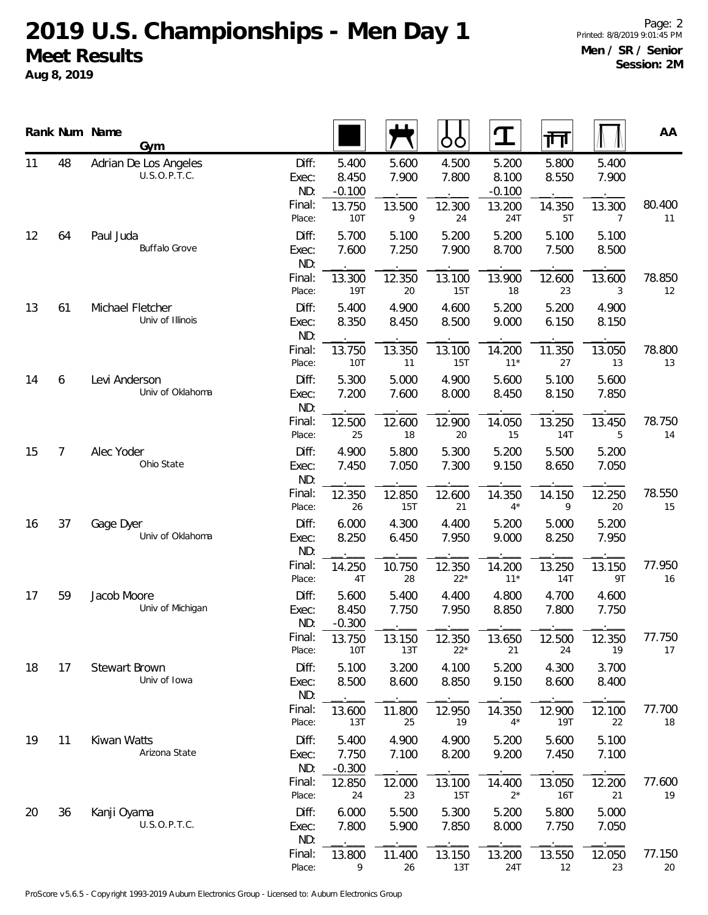**Aug 8, 2019**

|    |                | Rank Num Name<br>Gym                  |                       |                            |                | OO              | ${\bf T}$                  | 帀              |                          | AA           |
|----|----------------|---------------------------------------|-----------------------|----------------------------|----------------|-----------------|----------------------------|----------------|--------------------------|--------------|
| 11 | 48             | Adrian De Los Angeles<br>U.S.O.P.T.C. | Diff:<br>Exec:<br>ND: | 5.400<br>8.450<br>$-0.100$ | 5.600<br>7.900 | 4.500<br>7.800  | 5.200<br>8.100<br>$-0.100$ | 5.800<br>8.550 | 5.400<br>7.900           |              |
|    |                |                                       | Final:<br>Place:      | 13.750<br>10T              | 13.500<br>9    | 12.300<br>24    | 13.200<br>24T              | 14.350<br>5T   | 13.300<br>$\overline{7}$ | 80.400<br>11 |
| 12 | 64             | Paul Juda<br><b>Buffalo Grove</b>     | Diff:<br>Exec:<br>ND: | 5.700<br>7.600             | 5.100<br>7.250 | 5.200<br>7.900  | 5.200<br>8.700             | 5.100<br>7.500 | 5.100<br>8.500           |              |
|    |                |                                       | Final:<br>Place:      | 13.300<br><b>19T</b>       | 12.350<br>20   | 13.100<br>15T   | 13.900<br>18               | 12.600<br>23   | 13.600<br>3              | 78.850<br>12 |
| 13 | 61             | Michael Fletcher<br>Univ of Illinois  | Diff:<br>Exec:<br>ND: | 5.400<br>8.350             | 4.900<br>8.450 | 4.600<br>8.500  | 5.200<br>9.000             | 5.200<br>6.150 | 4.900<br>8.150           |              |
|    |                |                                       | Final:<br>Place:      | 13.750<br>10T              | 13.350<br>11   | 13.100<br>15T   | 14.200<br>$11*$            | 11.350<br>27   | 13.050<br>13             | 78.800<br>13 |
| 14 | 6              | Levi Anderson<br>Univ of Oklahoma     | Diff:<br>Exec:<br>ND: | 5.300<br>7.200             | 5.000<br>7.600 | 4.900<br>8.000  | 5.600<br>8.450             | 5.100<br>8.150 | 5.600<br>7.850           |              |
|    |                |                                       | Final:<br>Place:      | 12.500<br>25               | 12.600<br>18   | 12.900<br>20    | 14.050<br>15               | 13.250<br>14T  | 13.450<br>5              | 78.750<br>14 |
| 15 | $\overline{7}$ | Alec Yoder<br>Ohio State              | Diff:<br>Exec:<br>ND: | 4.900<br>7.450             | 5.800<br>7.050 | 5.300<br>7.300  | 5.200<br>9.150             | 5.500<br>8.650 | 5.200<br>7.050           |              |
|    |                |                                       | Final:<br>Place:      | 12.350<br>26               | 12.850<br>15T  | 12.600<br>21    | 14.350<br>$4^*$            | 14.150<br>9    | 12.250<br>20             | 78.550<br>15 |
| 16 | 37             | Gage Dyer<br>Univ of Oklahoma         | Diff:<br>Exec:<br>ND: | 6.000<br>8.250             | 4.300<br>6.450 | 4.400<br>7.950  | 5.200<br>9.000             | 5.000<br>8.250 | 5.200<br>7.950           |              |
|    |                |                                       | Final:<br>Place:      | 14.250<br>4T               | 10.750<br>28   | 12.350<br>$22*$ | 14.200<br>$11*$            | 13.250<br>14T  | 13.150<br>9T             | 77.950<br>16 |
| 17 | 59             | Jacob Moore<br>Univ of Michigan       | Diff:<br>Exec:<br>ND: | 5.600<br>8.450<br>$-0.300$ | 5.400<br>7.750 | 4.400<br>7.950  | 4.800<br>8.850             | 4.700<br>7.800 | 4.600<br>7.750           |              |
|    |                |                                       | Final:<br>Place:      | 13.750<br>10T              | 13.150<br>13T  | 12.350<br>$22*$ | 13.650<br>21               | 12.500<br>24   | 12.350<br>19             | 77.750<br>17 |
| 18 | 17             | Stewart Brown<br>Univ of Iowa         | Diff:<br>Exec:<br>ND: | 5.100<br>8.500             | 3.200<br>8.600 | 4.100<br>8.850  | 5.200<br>9.150             | 4.300<br>8.600 | 3.700<br>8.400           |              |
|    |                |                                       | Final:<br>Place:      | 13.600<br>13T              | 11.800<br>25   | 12.950<br>19    | 14.350<br>$4^*$            | 12.900<br>19T  | 12.100<br>22             | 77.700<br>18 |
| 19 | 11             | Kiwan Watts<br>Arizona State          | Diff:<br>Exec:<br>ND: | 5.400<br>7.750<br>$-0.300$ | 4.900<br>7.100 | 4.900<br>8.200  | 5.200<br>9.200             | 5.600<br>7.450 | 5.100<br>7.100           |              |
|    |                |                                       | Final:<br>Place:      | 12.850<br>24               | 12.000<br>23   | 13.100<br>15T   | 14.400<br>$2^*$            | 13.050<br>16T  | 12.200<br>21             | 77.600<br>19 |
| 20 | 36             | Kanji Oyama<br>U.S.O.P.T.C.           | Diff:<br>Exec:<br>ND: | 6.000<br>7.800             | 5.500<br>5.900 | 5.300<br>7.850  | 5.200<br>8.000             | 5.800<br>7.750 | 5.000<br>7.050           |              |
|    |                |                                       | Final:<br>Place:      | 13.800<br>9                | 11.400<br>26   | 13.150<br>13T   | 13.200<br>24T              | 13.550<br>12   | 12.050<br>23             | 77.150<br>20 |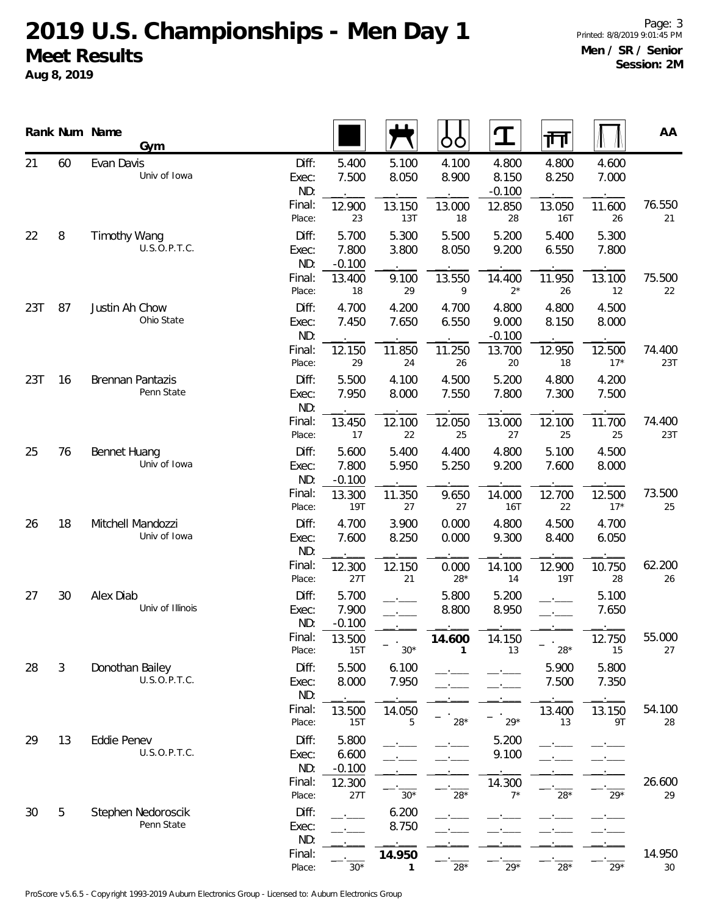**Aug 8, 2019**

|     |                | Rank Num Name<br>Gym                  |                       |                            |                | OO             | Ŧ                          | गा                   |                 | AA            |
|-----|----------------|---------------------------------------|-----------------------|----------------------------|----------------|----------------|----------------------------|----------------------|-----------------|---------------|
| 21  | 60             | Evan Davis<br>Univ of Iowa            | Diff:<br>Exec:<br>ND: | 5.400<br>7.500             | 5.100<br>8.050 | 4.100<br>8.900 | 4.800<br>8.150<br>$-0.100$ | 4.800<br>8.250       | 4.600<br>7.000  |               |
|     |                |                                       | Final:<br>Place:      | 12.900<br>23               | 13.150<br>13T  | 13.000<br>18   | 12.850<br>28               | 13.050<br><b>16T</b> | 11.600<br>26    | 76.550<br>21  |
| 22  | 8              | Timothy Wang<br>U.S.O.P.T.C.          | Diff:<br>Exec:<br>ND: | 5.700<br>7.800<br>$-0.100$ | 5.300<br>3.800 | 5.500<br>8.050 | 5.200<br>9.200             | 5.400<br>6.550       | 5.300<br>7.800  |               |
|     |                |                                       | Final:<br>Place:      | 13.400<br>18               | 9.100<br>29    | 13.550<br>9    | 14.400<br>$2^*$            | 11.950<br>26         | 13.100<br>12    | 75.500<br>22  |
| 23T | 87             | Justin Ah Chow<br>Ohio State          | Diff:<br>Exec:<br>ND: | 4.700<br>7.450             | 4.200<br>7.650 | 4.700<br>6.550 | 4.800<br>9.000<br>$-0.100$ | 4.800<br>8.150       | 4.500<br>8.000  |               |
|     |                |                                       | Final:<br>Place:      | 12.150<br>29               | 11.850<br>24   | 11.250<br>26   | 13.700<br>20               | 12.950<br>18         | 12.500<br>$17*$ | 74.400<br>23T |
| 23T | 16             | <b>Brennan Pantazis</b><br>Penn State | Diff:<br>Exec:<br>ND: | 5.500<br>7.950             | 4.100<br>8.000 | 4.500<br>7.550 | 5.200<br>7.800             | 4.800<br>7.300       | 4.200<br>7.500  |               |
|     |                |                                       | Final:<br>Place:      | 13.450<br>17               | 12.100<br>22   | 12.050<br>25   | 13.000<br>27               | 12.100<br>25         | 11.700<br>25    | 74.400<br>23T |
| 25  | 76             | <b>Bennet Huang</b><br>Univ of Iowa   | Diff:<br>Exec:<br>ND: | 5.600<br>7.800<br>$-0.100$ | 5.400<br>5.950 | 4.400<br>5.250 | 4.800<br>9.200             | 5.100<br>7.600       | 4.500<br>8.000  |               |
|     |                |                                       | Final:<br>Place:      | 13.300<br>19T              | 11.350<br>27   | 9.650<br>27    | 14.000<br>16T              | 12.700<br>22         | 12.500<br>$17*$ | 73.500<br>25  |
| 26  | 18             | Mitchell Mandozzi<br>Univ of Iowa     | Diff:<br>Exec:<br>ND: | 4.700<br>7.600             | 3.900<br>8.250 | 0.000<br>0.000 | 4.800<br>9.300             | 4.500<br>8.400       | 4.700<br>6.050  |               |
|     |                |                                       | Final:<br>Place:      | 12.300<br>27T              | 12.150<br>21   | 0.000<br>$28*$ | 14.100<br>14               | 12.900<br><b>19T</b> | 10.750<br>28    | 62.200<br>26  |
| 27  | 30             | Alex Diab<br>Univ of Illinois         | Diff:<br>Exec:<br>ND: | 5.700<br>7.900<br>$-0.100$ |                | 5.800<br>8.800 | 5.200<br>8.950             |                      | 5.100<br>7.650  |               |
|     |                |                                       | Final:<br>Place:      | 13.500<br>15T              | $30*$          | 14.600         | 14.150<br>13               | $28*$                | 12.750<br>15    | 55.000<br>27  |
| 28  | $\mathfrak{Z}$ | Donothan Bailey<br>U.S.O.P.T.C.       | Diff:<br>Exec:<br>ND: | 5.500<br>8.000             | 6.100<br>7.950 |                |                            | 5.900<br>7.500       | 5.800<br>7.350  |               |
|     |                |                                       | Final:<br>Place:      | 13.500<br>15T              | 14.050<br>5    | $28*$          | $29*$                      | 13.400<br>13         | 13.150<br>9T    | 54.100<br>28  |
| 29  | 13             | Eddie Penev<br>U.S.O.P.T.C.           | Diff:<br>Exec:<br>ND: | 5.800<br>6.600<br>$-0.100$ |                |                | 5.200<br>9.100             |                      |                 |               |
|     |                |                                       | Final:<br>Place:      | 12.300<br>27T              | $30*$          | $28*$          | 14.300<br>$7^*$            | $28*$                | $29*$           | 26.600<br>29  |
| 30  | 5              | Stephen Nedoroscik<br>Penn State      | Diff:<br>Exec:<br>ND: |                            | 6.200<br>8.750 |                |                            |                      |                 |               |
|     |                |                                       | Final:<br>Place:      | $30*$                      | 14.950<br>1    | $28^{\star}$   | $29*$                      | $28*$                | $29*$           | 14.950<br>30  |